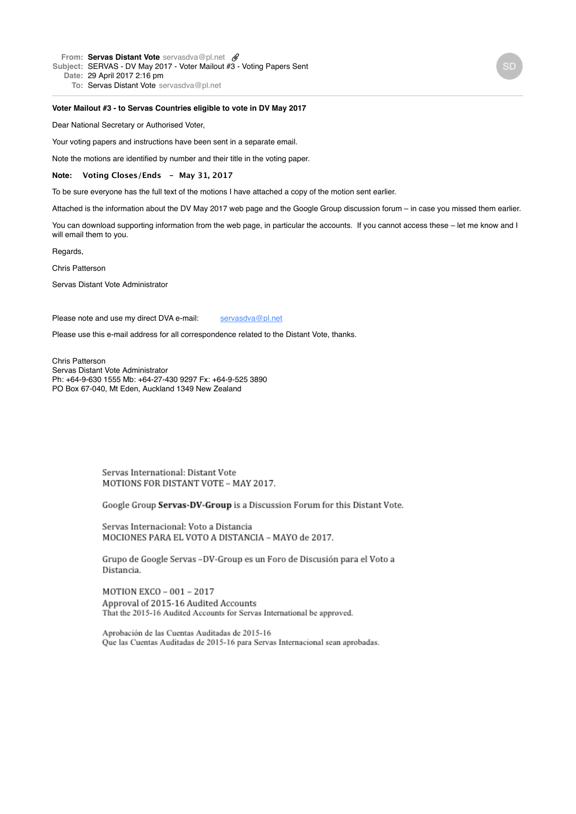**From: Servas Distant [Vote](mailto:Voteservasdva@pl.net)** [servasdva@pl.net](mailto:Voteservasdva@pl.net) **Subject:** SERVAS - DV May 2017 - Voter Mailout #3 - Voting Papers Sent **Date:** 29 April 2017 2:16 pm

**To:** Servas Distant [Vote](mailto:Voteservasdva@pl.net) [servasdva@pl.net](mailto:Voteservasdva@pl.net)

#### **Voter Mailout #3 - to Servas Countries eligible to vote in DV May 2017**

Dear National Secretary or Authorised Voter,

Your voting papers and instructions have been sent in a separate email.

Note the motions are identified by number and their title in the voting paper.

**Note: Voting Closes/Ends - May 31, 2017**

To be sure everyone has the full text of the motions I have attached a copy of the motion sent earlier.

Attached is the information about the DV May 2017 web page and the Google Group discussion forum – in case you missed them earlier.

You can download supporting information from the web page, in particular the accounts. If you cannot access these – let me know and I will email them to you.

Regards,

Chris Patterson

Servas Distant Vote Administrator

Please note and use my direct DVA e-mail: [servasdva@pl.net](mailto:servasdva@pl.net)

Please use this e-mail address for all correspondence related to the Distant Vote, thanks.

Chris Patterson Servas Distant Vote Administrator Ph: +64-9-630 1555 Mb: +64-27-430 9297 Fx: +64-9-525 3890 PO Box 67-040, Mt Eden, Auckland 1349 New Zealand

> Servas International: Distant Vote MOTIONS FOR DISTANT VOTE - MAY 2017.

Google Group Servas-DV-Group is a Discussion Forum for this Distant Vote.

Servas Internacional: Voto a Distancia MOCIONES PARA EL VOTO A DISTANCIA - MAYO de 2017.

Grupo de Google Servas -DV-Group es un Foro de Discusión para el Voto a Distancia.

MOTION EXCO - 001 - 2017 Approval of 2015-16 Audited Accounts That the 2015-16 Audited Accounts for Servas International be approved.

Aprobación de las Cuentas Auditadas de 2015-16 Que las Cuentas Auditadas de 2015-16 para Servas Internacional sean aprobadas.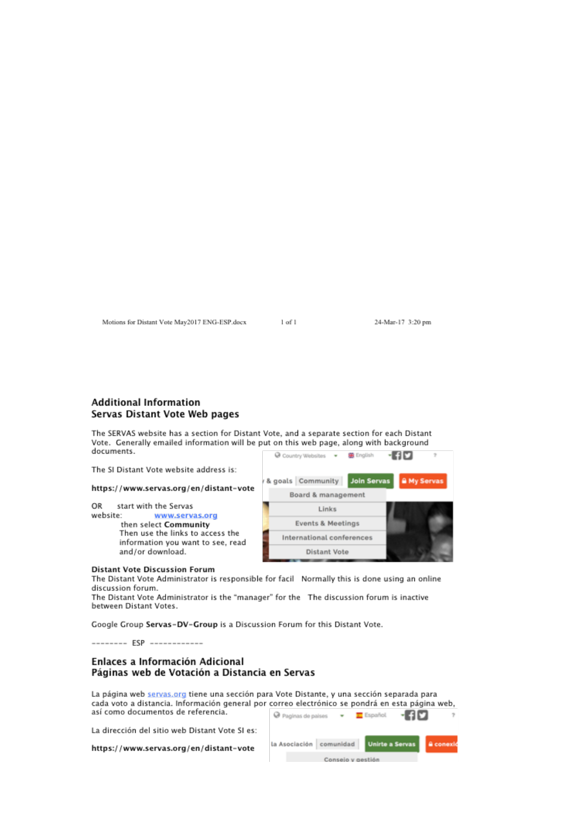Motions for Distant Vote May2017 ENG-ESP.docx

 $1$  of  $1$ 

24-Mar-17 3:20 pm

# **Additional Information** Servas Distant Vote Web pages

The SERVAS website has a section for Distant Vote, and a separate section for each Distant Vote. Generally emailed information will be put on this web page, along with background documents.

The SI Distant Vote website address is:

https://www.servas.org/en/distant-vote

OR start with the Servas

website: www.servas.org then select Community Then use the links to access the information you want to see, read and/or download.



#### **Distant Vote Discussion Forum**

The Distant Vote Administrator is responsible for facil Normally this is done using an online discussion forum.

The Distant Vote Administrator is the "manager" for the The discussion forum is inactive between Distant Votes.

Google Group Servas-DV-Group is a Discussion Forum for this Distant Vote.

-------- FSP -------------

## Enlaces a Información Adicional Páginas web de Votación a Distancia en Servas

La página web servas org tiene una sección para Vote Distante, y una sección separada para cada voto a distancia. Información general por correo electrónico se pondrá en esta página web, así como documentos de referencia.

La dirección del sitio web Distant Vote SI es:

https://www.servas.org/en/distant-vote